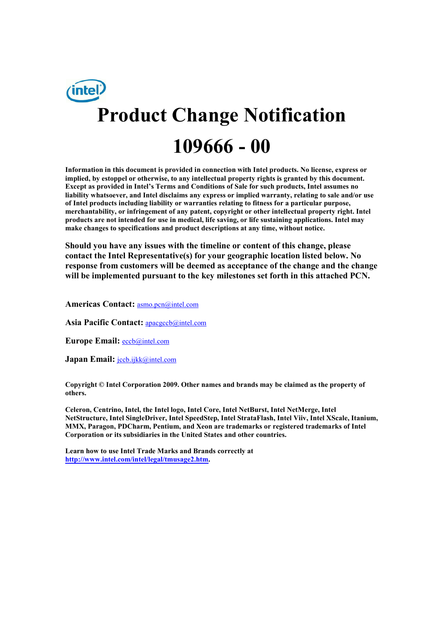

**Information in this document is provided in connection with Intel products. No license, express or implied, by estoppel or otherwise, to any intellectual property rights is granted by this document. Except as provided in Intel's Terms and Conditions of Sale for such products, Intel assumes no liability whatsoever, and Intel disclaims any express or implied warranty, relating to sale and/or use of Intel products including liability or warranties relating to fitness for a particular purpose, merchantability, or infringement of any patent, copyright or other intellectual property right. Intel products are not intended for use in medical, life saving, or life sustaining applications. Intel may make changes to specifications and product descriptions at any time, without notice.** 

**Should you have any issues with the timeline or content of this change, please contact the Intel Representative(s) for your geographic location listed below. No response from customers will be deemed as acceptance of the change and the change will be implemented pursuant to the key milestones set forth in this attached PCN.** 

**Americas Contact:** asmo.pcn@intel.com

**Asia Pacific Contact:** apacgccb@intel.com

**Europe Email:** eccb@intel.com

Japan Email: **jccb.ijkk@intel.com** 

**Copyright © Intel Corporation 2009. Other names and brands may be claimed as the property of others.**

**Celeron, Centrino, Intel, the Intel logo, Intel Core, Intel NetBurst, Intel NetMerge, Intel NetStructure, Intel SingleDriver, Intel SpeedStep, Intel StrataFlash, Intel Viiv, Intel XScale, Itanium, MMX, Paragon, PDCharm, Pentium, and Xeon are trademarks or registered trademarks of Intel Corporation or its subsidiaries in the United States and other countries.** 

**Learn how to use Intel Trade Marks and Brands correctly at http://www.intel.com/intel/legal/tmusage2.htm.**